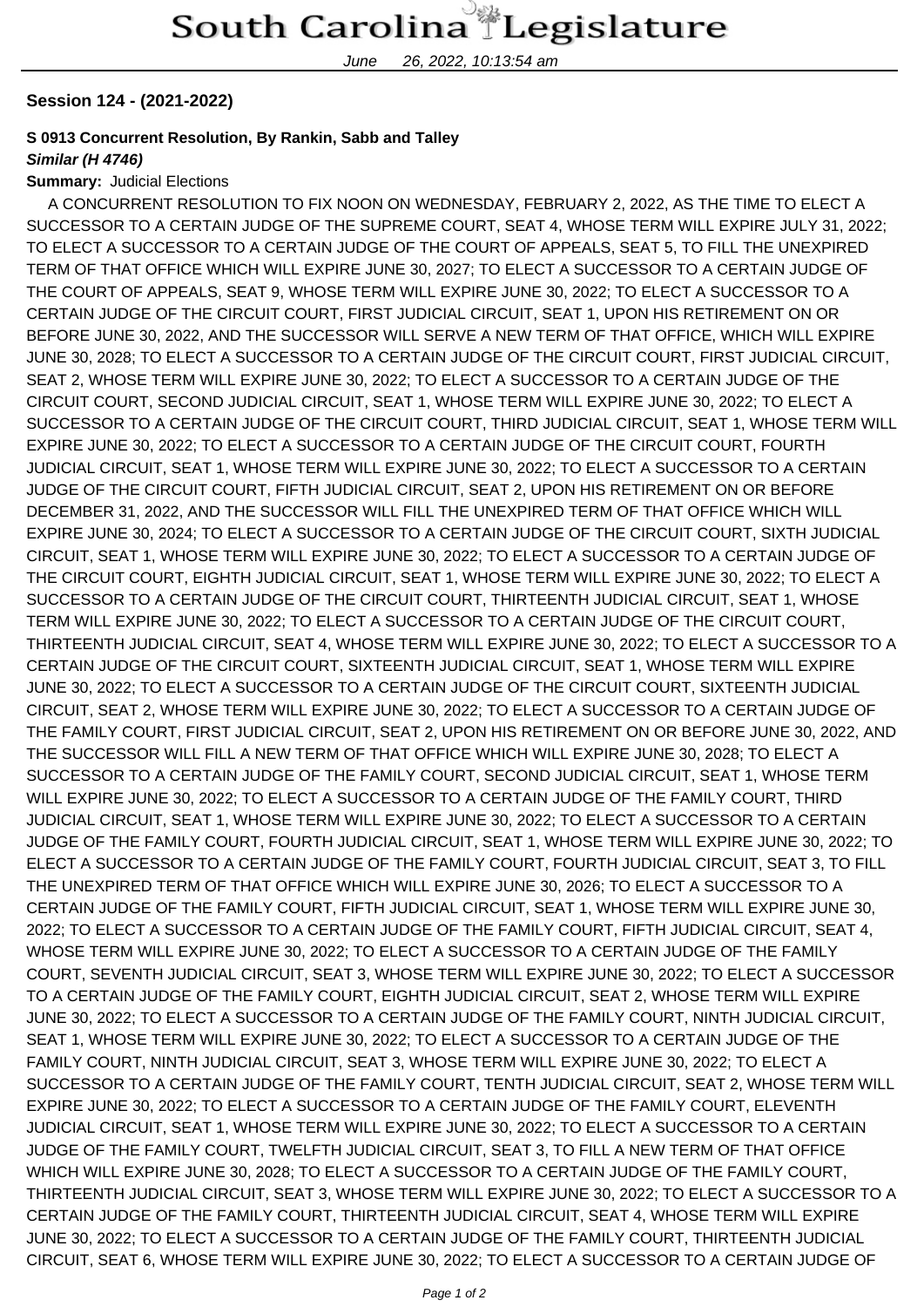June 26, 2022, 10:13:54 am

### **Session 124 - (2021-2022)**

## **S 0913 Concurrent Resolution, By Rankin, Sabb and Talley**

#### **Similar (H 4746)**

#### **Summary:** Judicial Elections

 A CONCURRENT RESOLUTION TO FIX NOON ON WEDNESDAY, FEBRUARY 2, 2022, AS THE TIME TO ELECT A SUCCESSOR TO A CERTAIN JUDGE OF THE SUPREME COURT, SEAT 4, WHOSE TERM WILL EXPIRE JULY 31, 2022; TO ELECT A SUCCESSOR TO A CERTAIN JUDGE OF THE COURT OF APPEALS, SEAT 5, TO FILL THE UNEXPIRED TERM OF THAT OFFICE WHICH WILL EXPIRE JUNE 30, 2027; TO ELECT A SUCCESSOR TO A CERTAIN JUDGE OF THE COURT OF APPEALS, SEAT 9, WHOSE TERM WILL EXPIRE JUNE 30, 2022; TO ELECT A SUCCESSOR TO A CERTAIN JUDGE OF THE CIRCUIT COURT, FIRST JUDICIAL CIRCUIT, SEAT 1, UPON HIS RETIREMENT ON OR BEFORE JUNE 30, 2022, AND THE SUCCESSOR WILL SERVE A NEW TERM OF THAT OFFICE, WHICH WILL EXPIRE JUNE 30, 2028; TO ELECT A SUCCESSOR TO A CERTAIN JUDGE OF THE CIRCUIT COURT, FIRST JUDICIAL CIRCUIT, SEAT 2, WHOSE TERM WILL EXPIRE JUNE 30, 2022; TO ELECT A SUCCESSOR TO A CERTAIN JUDGE OF THE CIRCUIT COURT, SECOND JUDICIAL CIRCUIT, SEAT 1, WHOSE TERM WILL EXPIRE JUNE 30, 2022; TO ELECT A SUCCESSOR TO A CERTAIN JUDGE OF THE CIRCUIT COURT, THIRD JUDICIAL CIRCUIT, SEAT 1, WHOSE TERM WILL EXPIRE JUNE 30, 2022; TO ELECT A SUCCESSOR TO A CERTAIN JUDGE OF THE CIRCUIT COURT, FOURTH JUDICIAL CIRCUIT, SEAT 1, WHOSE TERM WILL EXPIRE JUNE 30, 2022; TO ELECT A SUCCESSOR TO A CERTAIN JUDGE OF THE CIRCUIT COURT, FIFTH JUDICIAL CIRCUIT, SEAT 2, UPON HIS RETIREMENT ON OR BEFORE DECEMBER 31, 2022, AND THE SUCCESSOR WILL FILL THE UNEXPIRED TERM OF THAT OFFICE WHICH WILL EXPIRE JUNE 30, 2024; TO ELECT A SUCCESSOR TO A CERTAIN JUDGE OF THE CIRCUIT COURT, SIXTH JUDICIAL CIRCUIT, SEAT 1, WHOSE TERM WILL EXPIRE JUNE 30, 2022; TO ELECT A SUCCESSOR TO A CERTAIN JUDGE OF THE CIRCUIT COURT, EIGHTH JUDICIAL CIRCUIT, SEAT 1, WHOSE TERM WILL EXPIRE JUNE 30, 2022; TO ELECT A SUCCESSOR TO A CERTAIN JUDGE OF THE CIRCUIT COURT, THIRTEENTH JUDICIAL CIRCUIT, SEAT 1, WHOSE TERM WILL EXPIRE JUNE 30, 2022; TO ELECT A SUCCESSOR TO A CERTAIN JUDGE OF THE CIRCUIT COURT, THIRTEENTH JUDICIAL CIRCUIT, SEAT 4, WHOSE TERM WILL EXPIRE JUNE 30, 2022; TO ELECT A SUCCESSOR TO A CERTAIN JUDGE OF THE CIRCUIT COURT, SIXTEENTH JUDICIAL CIRCUIT, SEAT 1, WHOSE TERM WILL EXPIRE JUNE 30, 2022; TO ELECT A SUCCESSOR TO A CERTAIN JUDGE OF THE CIRCUIT COURT, SIXTEENTH JUDICIAL CIRCUIT, SEAT 2, WHOSE TERM WILL EXPIRE JUNE 30, 2022; TO ELECT A SUCCESSOR TO A CERTAIN JUDGE OF THE FAMILY COURT, FIRST JUDICIAL CIRCUIT, SEAT 2, UPON HIS RETIREMENT ON OR BEFORE JUNE 30, 2022, AND THE SUCCESSOR WILL FILL A NEW TERM OF THAT OFFICE WHICH WILL EXPIRE JUNE 30, 2028; TO ELECT A SUCCESSOR TO A CERTAIN JUDGE OF THE FAMILY COURT, SECOND JUDICIAL CIRCUIT, SEAT 1, WHOSE TERM WILL EXPIRE JUNE 30, 2022; TO ELECT A SUCCESSOR TO A CERTAIN JUDGE OF THE FAMILY COURT, THIRD JUDICIAL CIRCUIT, SEAT 1, WHOSE TERM WILL EXPIRE JUNE 30, 2022; TO ELECT A SUCCESSOR TO A CERTAIN JUDGE OF THE FAMILY COURT, FOURTH JUDICIAL CIRCUIT, SEAT 1, WHOSE TERM WILL EXPIRE JUNE 30, 2022; TO ELECT A SUCCESSOR TO A CERTAIN JUDGE OF THE FAMILY COURT, FOURTH JUDICIAL CIRCUIT, SEAT 3, TO FILL THE UNEXPIRED TERM OF THAT OFFICE WHICH WILL EXPIRE JUNE 30, 2026; TO ELECT A SUCCESSOR TO A CERTAIN JUDGE OF THE FAMILY COURT, FIFTH JUDICIAL CIRCUIT, SEAT 1, WHOSE TERM WILL EXPIRE JUNE 30, 2022; TO ELECT A SUCCESSOR TO A CERTAIN JUDGE OF THE FAMILY COURT, FIFTH JUDICIAL CIRCUIT, SEAT 4, WHOSE TERM WILL EXPIRE JUNE 30, 2022; TO ELECT A SUCCESSOR TO A CERTAIN JUDGE OF THE FAMILY COURT, SEVENTH JUDICIAL CIRCUIT, SEAT 3, WHOSE TERM WILL EXPIRE JUNE 30, 2022; TO ELECT A SUCCESSOR TO A CERTAIN JUDGE OF THE FAMILY COURT, EIGHTH JUDICIAL CIRCUIT, SEAT 2, WHOSE TERM WILL EXPIRE JUNE 30, 2022; TO ELECT A SUCCESSOR TO A CERTAIN JUDGE OF THE FAMILY COURT, NINTH JUDICIAL CIRCUIT, SEAT 1, WHOSE TERM WILL EXPIRE JUNE 30, 2022; TO ELECT A SUCCESSOR TO A CERTAIN JUDGE OF THE FAMILY COURT, NINTH JUDICIAL CIRCUIT, SEAT 3, WHOSE TERM WILL EXPIRE JUNE 30, 2022; TO ELECT A SUCCESSOR TO A CERTAIN JUDGE OF THE FAMILY COURT, TENTH JUDICIAL CIRCUIT, SEAT 2, WHOSE TERM WILL EXPIRE JUNE 30, 2022; TO ELECT A SUCCESSOR TO A CERTAIN JUDGE OF THE FAMILY COURT, ELEVENTH JUDICIAL CIRCUIT, SEAT 1, WHOSE TERM WILL EXPIRE JUNE 30, 2022; TO ELECT A SUCCESSOR TO A CERTAIN JUDGE OF THE FAMILY COURT, TWELFTH JUDICIAL CIRCUIT, SEAT 3, TO FILL A NEW TERM OF THAT OFFICE WHICH WILL EXPIRE JUNE 30, 2028; TO ELECT A SUCCESSOR TO A CERTAIN JUDGE OF THE FAMILY COURT, THIRTEENTH JUDICIAL CIRCUIT, SEAT 3, WHOSE TERM WILL EXPIRE JUNE 30, 2022; TO ELECT A SUCCESSOR TO A CERTAIN JUDGE OF THE FAMILY COURT, THIRTEENTH JUDICIAL CIRCUIT, SEAT 4, WHOSE TERM WILL EXPIRE JUNE 30, 2022; TO ELECT A SUCCESSOR TO A CERTAIN JUDGE OF THE FAMILY COURT, THIRTEENTH JUDICIAL CIRCUIT, SEAT 6, WHOSE TERM WILL EXPIRE JUNE 30, 2022; TO ELECT A SUCCESSOR TO A CERTAIN JUDGE OF